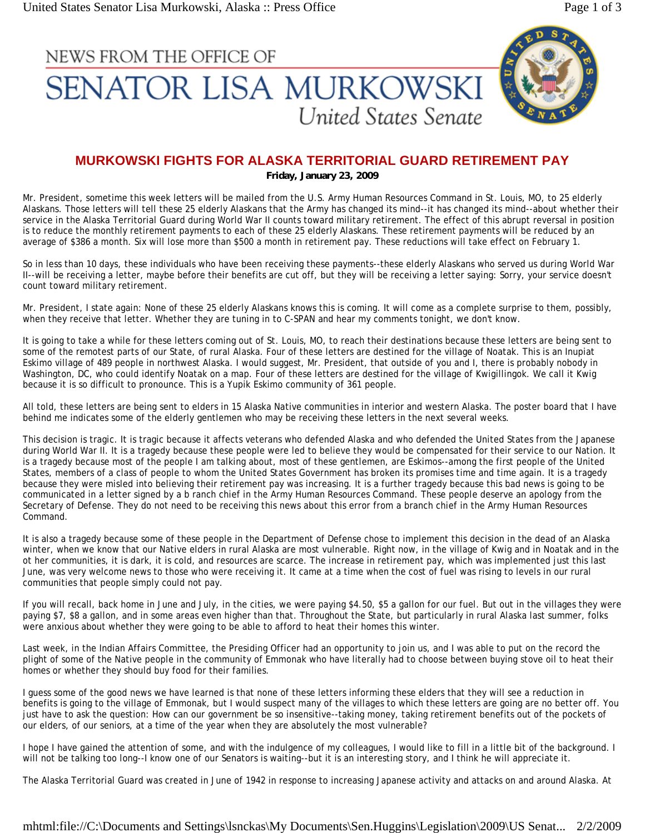## NEWS FROM THE OFFICE OF **SENATOR LISA MURKOWSKI** United States Senate



## **MURKOWSKI FIGHTS FOR ALASKA TERRITORIAL GUARD RETIREMENT PAY**

**Friday, January 23, 2009**

Mr. President, sometime this week letters will be mailed from the U.S. Army Human Resources Command in St. Louis, MO, to 25 elderly Alaskans. Those letters will tell these 25 elderly Alaskans that the Army has changed its mind--it has changed its mind--about whether their service in the Alaska Territorial Guard during World War II counts toward military retirement. The effect of this abrupt reversal in position is to reduce the monthly retirement payments to each of these 25 elderly Alaskans. These retirement payments will be reduced by an average of \$386 a month. Six will lose more than \$500 a month in retirement pay. These reductions will take effect on February 1.

So in less than 10 days, these individuals who have been receiving these payments--these elderly Alaskans who served us during World War II--will be receiving a letter, maybe before their benefits are cut off, but they will be receiving a letter saying: Sorry, your service doesn't count toward military retirement.

Mr. President, I state again: None of these 25 elderly Alaskans knows this is coming. It will come as a complete surprise to them, possibly, when they receive that letter. Whether they are tuning in to C-SPAN and hear my comments tonight, we don't know.

It is going to take a while for these letters coming out of St. Louis, MO, to reach their destinations because these letters are being sent to some of the remotest parts of our State, of rural Alaska. Four of these letters are destined for the village of Noatak. This is an Inupiat Eskimo village of 489 people in northwest Alaska. I would suggest, Mr. President, that outside of you and I, there is probably nobody in Washington, DC, who could identify Noatak on a map. Four of these letters are destined for the village of Kwigillingok. We call it Kwig because it is so difficult to pronounce. This is a Yupik Eskimo community of 361 people.

All told, these letters are being sent to elders in 15 Alaska Native communities in interior and western Alaska. The poster board that I have behind me indicates some of the elderly gentlemen who may be receiving these letters in the next several weeks.

This decision is tragic. It is tragic because it affects veterans who defended Alaska and who defended the United States from the Japanese during World War II. It is a tragedy because these people were led to believe they would be compensated for their service to our Nation. It is a tragedy because most of the people I am talking about, most of these gentlemen, are Eskimos--among the first people of the United States, members of a class of people to whom the United States Government has broken its promises time and time again. It is a tragedy because they were misled into believing their retirement pay was increasing. It is a further tragedy because this bad news is going to be communicated in a letter signed by a b ranch chief in the Army Human Resources Command. These people deserve an apology from the Secretary of Defense. They do not need to be receiving this news about this error from a branch chief in the Army Human Resources Command.

It is also a tragedy because some of these people in the Department of Defense chose to implement this decision in the dead of an Alaska winter, when we know that our Native elders in rural Alaska are most vulnerable. Right now, in the village of Kwig and in Noatak and in the ot her communities, it is dark, it is cold, and resources are scarce. The increase in retirement pay, which was implemented just this last June, was very welcome news to those who were receiving it. It came at a time when the cost of fuel was rising to levels in our rural communities that people simply could not pay.

If you will recall, back home in June and July, in the cities, we were paying \$4.50, \$5 a gallon for our fuel. But out in the villages they were paying \$7, \$8 a gallon, and in some areas even higher than that. Throughout the State, but particularly in rural Alaska last summer, folks were anxious about whether they were going to be able to afford to heat their homes this winter.

Last week, in the Indian Affairs Committee, the Presiding Officer had an opportunity to join us, and I was able to put on the record the plight of some of the Native people in the community of Emmonak who have literally had to choose between buying stove oil to heat their homes or whether they should buy food for their families.

I guess some of the good news we have learned is that none of these letters informing these elders that they will see a reduction in benefits is going to the village of Emmonak, but I would suspect many of the villages to which these letters are going are no better off. You just have to ask the question: How can our government be so insensitive--taking money, taking retirement benefits out of the pockets of our elders, of our seniors, at a time of the year when they are absolutely the most vulnerable?

I hope I have gained the attention of some, and with the indulgence of my colleagues, I would like to fill in a little bit of the background. I will not be talking too long--I know one of our Senators is waiting--but it is an interesting story, and I think he will appreciate it.

The Alaska Territorial Guard was created in June of 1942 in response to increasing Japanese activity and attacks on and around Alaska. At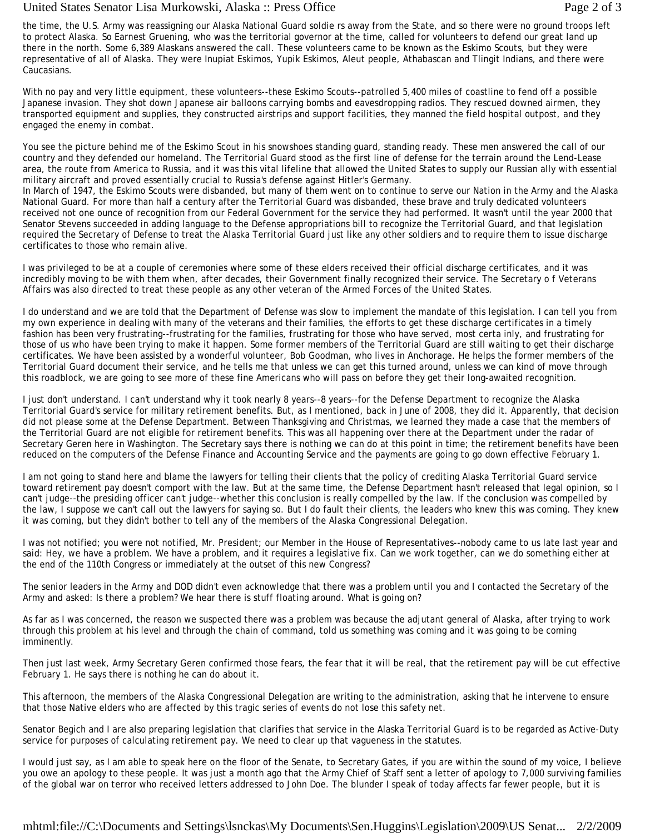## United States Senator Lisa Murkowski, Alaska :: Press Office Page 2 of 3

the time, the U.S. Army was reassigning our Alaska National Guard soldie rs away from the State, and so there were no ground troops left to protect Alaska. So Earnest Gruening, who was the territorial governor at the time, called for volunteers to defend our great land up there in the north. Some 6,389 Alaskans answered the call. These volunteers came to be known as the Eskimo Scouts, but they were representative of all of Alaska. They were Inupiat Eskimos, Yupik Eskimos, Aleut people, Athabascan and Tlingit Indians, and there were Caucasians.

With no pay and very little equipment, these volunteers--these Eskimo Scouts--patrolled 5,400 miles of coastline to fend off a possible Japanese invasion. They shot down Japanese air balloons carrying bombs and eavesdropping radios. They rescued downed airmen, they transported equipment and supplies, they constructed airstrips and support facilities, they manned the field hospital outpost, and they engaged the enemy in combat.

You see the picture behind me of the Eskimo Scout in his snowshoes standing guard, standing ready. These men answered the call of our country and they defended our homeland. The Territorial Guard stood as the first line of defense for the terrain around the Lend-Lease area, the route from America to Russia, and it was this vital lifeline that allowed the United States to supply our Russian ally with essential military aircraft and proved essentially crucial to Russia's defense against Hitler's Germany.

In March of 1947, the Eskimo Scouts were disbanded, but many of them went on to continue to serve our Nation in the Army and the Alaska National Guard. For more than half a century after the Territorial Guard was disbanded, these brave and truly dedicated volunteers received not one ounce of recognition from our Federal Government for the service they had performed. It wasn't until the year 2000 that Senator Stevens succeeded in adding language to the Defense appropriations bill to recognize the Territorial Guard, and that legislation required the Secretary of Defense to treat the Alaska Territorial Guard just like any other soldiers and to require them to issue discharge certificates to those who remain alive.

I was privileged to be at a couple of ceremonies where some of these elders received their official discharge certificates, and it was incredibly moving to be with them when, after decades, their Government finally recognized their service. The Secretary o f Veterans Affairs was also directed to treat these people as any other veteran of the Armed Forces of the United States.

I do understand and we are told that the Department of Defense was slow to implement the mandate of this legislation. I can tell you from my own experience in dealing with many of the veterans and their families, the efforts to get these discharge certificates in a timely fashion has been very frustrating--frustrating for the families, frustrating for those who have served, most certa inly, and frustrating for those of us who have been trying to make it happen. Some former members of the Territorial Guard are still waiting to get their discharge certificates. We have been assisted by a wonderful volunteer, Bob Goodman, who lives in Anchorage. He helps the former members of the Territorial Guard document their service, and he tells me that unless we can get this turned around, unless we can kind of move through this roadblock, we are going to see more of these fine Americans who will pass on before they get their long-awaited recognition.

I just don't understand. I can't understand why it took nearly 8 years--8 years--for the Defense Department to recognize the Alaska Territorial Guard's service for military retirement benefits. But, as I mentioned, back in June of 2008, they did it. Apparently, that decision did not please some at the Defense Department. Between Thanksgiving and Christmas, we learned they made a case that the members of the Territorial Guard are not eligible for retirement benefits. This was all happening over there at the Department under the radar of Secretary Geren here in Washington. The Secretary says there is nothing we can do at this point in time; the retirement benefits have been reduced on the computers of the Defense Finance and Accounting Service and the payments are going to go down effective February 1.

I am not going to stand here and blame the lawyers for telling their clients that the policy of crediting Alaska Territorial Guard service toward retirement pay doesn't comport with the law. But at the same time, the Defense Department hasn't released that legal opinion, so I can't judge--the presiding officer can't judge--whether this conclusion is really compelled by the law. If the conclusion was compelled by the law, I suppose we can't call out the lawyers for saying so. But I do fault their clients, the leaders who knew this was coming. They knew it was coming, but they didn't bother to tell any of the members of the Alaska Congressional Delegation.

I was not notified; you were not notified, Mr. President; our Member in the House of Representatives--nobody came to us late last year and said: Hey, we have a problem. We have a problem, and it requires a legislative fix. Can we work together, can we do something either at the end of the 110th Congress or immediately at the outset of this new Congress?

The senior leaders in the Army and DOD didn't even acknowledge that there was a problem until you and I contacted the Secretary of the Army and asked: Is there a problem? We hear there is stuff floating around. What is going on?

As far as I was concerned, the reason we suspected there was a problem was because the adjutant general of Alaska, after trying to work through this problem at his level and through the chain of command, told us something was coming and it was going to be coming imminently.

Then just last week, Army Secretary Geren confirmed those fears, the fear that it will be real, that the retirement pay will be cut effective February 1. He says there is nothing he can do about it.

This afternoon, the members of the Alaska Congressional Delegation are writing to the administration, asking that he intervene to ensure that those Native elders who are affected by this tragic series of events do not lose this safety net.

Senator Begich and I are also preparing legislation that clarifies that service in the Alaska Territorial Guard is to be regarded as Active-Duty service for purposes of calculating retirement pay. We need to clear up that vagueness in the statutes.

I would just say, as I am able to speak here on the floor of the Senate, to Secretary Gates, if you are within the sound of my voice, I believe you owe an apology to these people. It was just a month ago that the Army Chief of Staff sent a letter of apology to 7,000 surviving families of the global war on terror who received letters addressed to John Doe. The blunder I speak of today affects far fewer people, but it is